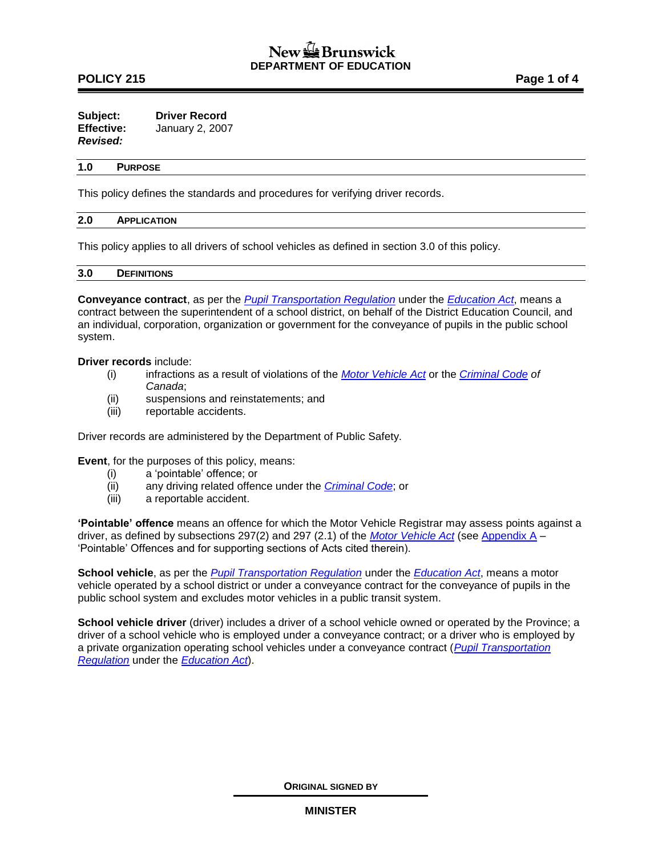# New **L** Brunswick **DEPARTMENT OF EDUCATION**

## **POLICY 215** POLICY 215

| Subject:          | <b>Driver Record</b> |
|-------------------|----------------------|
| <b>Effective:</b> | January 2, 2007      |
| <b>Revised:</b>   |                      |

### **1.0 PURPOSE**

This policy defines the standards and procedures for verifying driver records.

#### **2.0 APPLICATION**

This policy applies to all drivers of school vehicles as defined in section 3.0 of this policy.

### **3.0 DEFINITIONS**

**Conveyance contract**, as per the *[Pupil Transportation Regulation](http://laws.gnb.ca/en/ShowPdf/cr/2001-51.pdf)* under the *[Education Act](http://laws.gnb.ca/en/ShowPdf/cs/E-1.12.pdf)*, means a contract between the superintendent of a school district, on behalf of the District Education Council, and an individual, corporation, organization or government for the conveyance of pupils in the public school system.

#### **Driver records** include:

- (i) infractions as a result of violations of the *[Motor Vehicle Act](http://laws.gnb.ca/en/ShowPdf/cs/M-17.pdf)* or the *[Criminal Code](http://laws-lois.justice.gc.ca/eng/acts/C-46/) of Canada*;
- (ii) suspensions and reinstatements; and
- (iii) reportable accidents.

Driver records are administered by the Department of Public Safety.

**Event**, for the purposes of this policy, means:

- (i) a 'pointable' offence; or
- (ii) any driving related offence under the *[Criminal Code](http://laws-lois.justice.gc.ca/eng/acts/C-46/)*; or
- (iii) a reportable accident.

**'Pointable' offence** means an offence for which the Motor Vehicle Registrar may assess points against a driver, as defined by subsections 297(2) and 297 (2.1) of the *[Motor Vehicle Act](http://laws.gnb.ca/en/ShowPdf/cs/M-17.pdf)* (see [Appendix A](http://www2.gnb.ca/content/dam/gnb/Departments/ed/pdf/K12/policies-politiques/e/215AA.pdf) – 'Pointable' Offences and for supporting sections of Acts cited therein).

**School vehicle**, as per the *[Pupil Transportation Regulation](http://laws.gnb.ca/en/ShowPdf/cr/2001-51.pdf)* under the *[Education Act](http://laws.gnb.ca/en/ShowPdf/cs/E-1.12.pdf)*, means a motor vehicle operated by a school district or under a conveyance contract for the conveyance of pupils in the public school system and excludes motor vehicles in a public transit system.

**School vehicle driver** (driver) includes a driver of a school vehicle owned or operated by the Province; a driver of a school vehicle who is employed under a conveyance contract; or a driver who is employed by a private organization operating school vehicles under a conveyance contract (*[Pupil Transportation](http://laws.gnb.ca/en/ShowPdf/cr/2001-51.pdf)  [Regulation](http://laws.gnb.ca/en/ShowPdf/cr/2001-51.pdf)* under the *[Education Act](http://laws.gnb.ca/en/ShowPdf/cs/E-1.12.pdf)*).

**ORIGINAL SIGNED BY**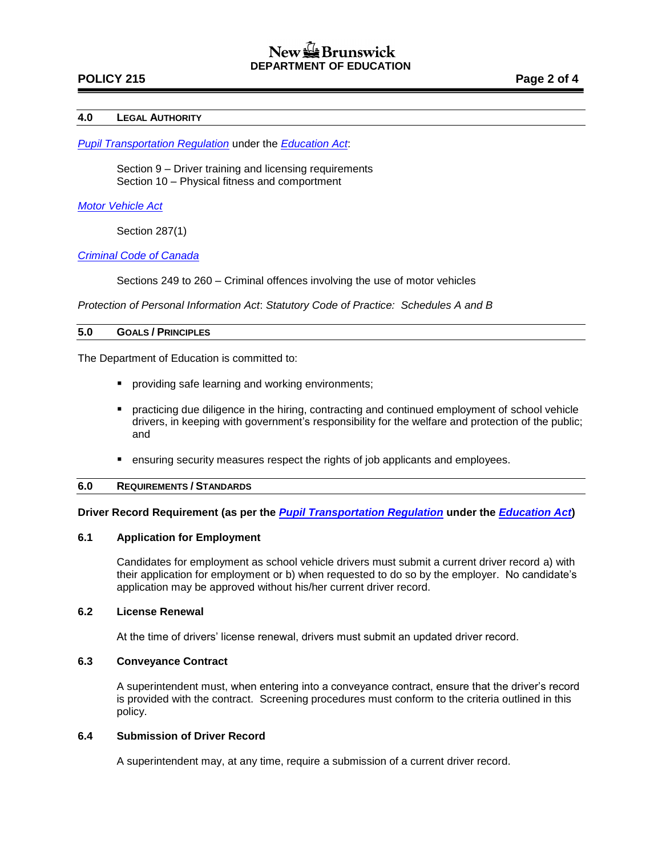## **POLICY 215 Page 2 of 4**

#### **4.0 LEGAL AUTHORITY**

*[Pupil Transportation Regulation](http://laws.gnb.ca/en/ShowPdf/cr/2001-51.pdf)* under the *[Education Act](http://laws.gnb.ca/en/ShowPdf/cs/E-1.12.pdf)*:

Section 9 – Driver training and licensing requirements Section 10 – Physical fitness and comportment

#### *[Motor Vehicle Act](http://laws.gnb.ca/en/ShowPdf/cs/M-17.pdf)*

Section 287(1)

## *[Criminal Code of Canada](http://laws-lois.justice.gc.ca/eng/acts/C-46/)*

Sections 249 to 260 – Criminal offences involving the use of motor vehicles

*Protection of Personal Information Act*: *Statutory Code of Practice: Schedules A and B*

#### **5.0 GOALS / PRINCIPLES**

The Department of Education is committed to:

- **P** providing safe learning and working environments;
- practicing due diligence in the hiring, contracting and continued employment of school vehicle drivers, in keeping with government's responsibility for the welfare and protection of the public; and
- ensuring security measures respect the rights of job applicants and employees.

### **6.0 REQUIREMENTS / STANDARDS**

**Driver Record Requirement (as per the** *[Pupil Transportation Regulation](http://laws.gnb.ca/en/ShowPdf/cr/2001-51.pdf)* **under the** *[Education Act](http://laws.gnb.ca/en/ShowPdf/cs/E-1.12.pdf)***)**

### **6.1 Application for Employment**

Candidates for employment as school vehicle drivers must submit a current driver record a) with their application for employment or b) when requested to do so by the employer. No candidate's application may be approved without his/her current driver record.

#### **6.2 License Renewal**

At the time of drivers' license renewal, drivers must submit an updated driver record.

### **6.3 Conveyance Contract**

A superintendent must, when entering into a conveyance contract, ensure that the driver's record is provided with the contract. Screening procedures must conform to the criteria outlined in this policy.

### **6.4 Submission of Driver Record**

A superintendent may, at any time, require a submission of a current driver record.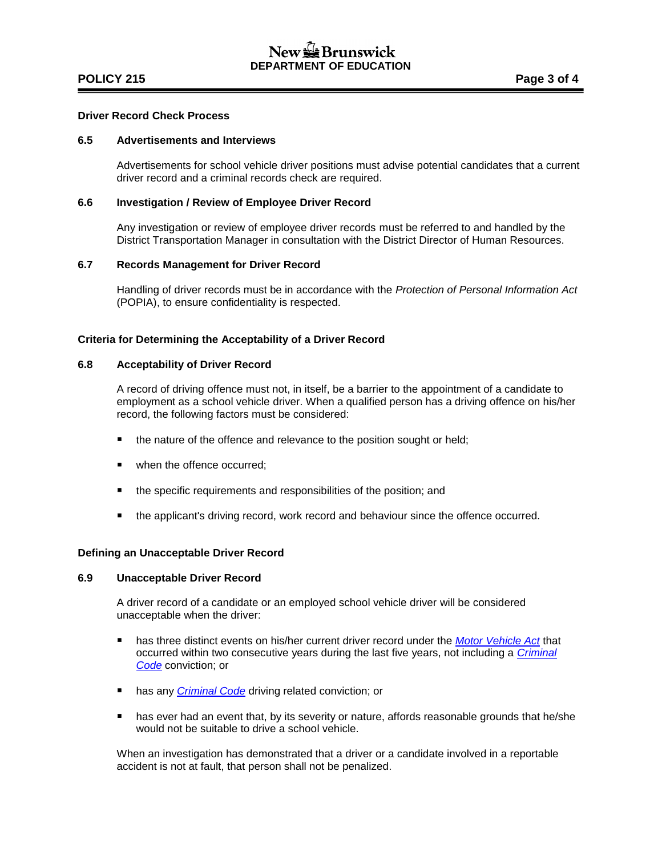## **POLICY 215 POLICY 215**

## **Driver Record Check Process**

### **6.5 Advertisements and Interviews**

Advertisements for school vehicle driver positions must advise potential candidates that a current driver record and a criminal records check are required.

### **6.6 Investigation / Review of Employee Driver Record**

Any investigation or review of employee driver records must be referred to and handled by the District Transportation Manager in consultation with the District Director of Human Resources.

### **6.7 Records Management for Driver Record**

Handling of driver records must be in accordance with the *Protection of Personal Information Act* (POPIA), to ensure confidentiality is respected.

### **Criteria for Determining the Acceptability of a Driver Record**

#### **6.8 Acceptability of Driver Record**

A record of driving offence must not, in itself, be a barrier to the appointment of a candidate to employment as a school vehicle driver. When a qualified person has a driving offence on his/her record, the following factors must be considered:

- the nature of the offence and relevance to the position sought or held;
- when the offence occurred;
- the specific requirements and responsibilities of the position; and
- **the applicant's driving record, work record and behaviour since the offence occurred.**

#### **Defining an Unacceptable Driver Record**

#### **6.9 Unacceptable Driver Record**

A driver record of a candidate or an employed school vehicle driver will be considered unacceptable when the driver:

- **has three distinct events on his/her current driver record under the** *[Motor Vehicle Act](http://laws.gnb.ca/en/ShowPdf/cs/M-17.pdf)* **that** occurred within two consecutive years during the last five years, not including a *[Criminal](http://laws-lois.justice.gc.ca/eng/acts/C-46/)  [Code](http://laws-lois.justice.gc.ca/eng/acts/C-46/)* conviction; or
- **has any** *[Criminal Code](http://laws-lois.justice.gc.ca/eng/acts/C-46/)* driving related conviction; or
- **has ever had an event that, by its severity or nature, affords reasonable grounds that he/she** would not be suitable to drive a school vehicle.

When an investigation has demonstrated that a driver or a candidate involved in a reportable accident is not at fault, that person shall not be penalized.